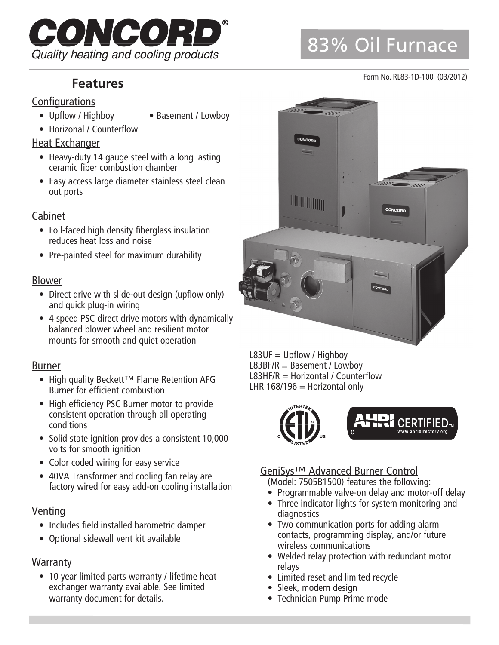# CONCOR Quality heating and cooling products

# **Configurations**

- Upflow / Highboy Basement / Lowboy
- Horizonal / Counterflow

# Heat Exchanger

- Heavy-duty 14 gauge steel with a long lasting ceramic fiber combustion chamber
- Easy access large diameter stainless steel clean out ports

# Cabinet

- Foil-faced high density fiberglass insulation reduces heat loss and noise
- Pre-painted steel for maximum durability

#### Blower

- Direct drive with slide-out design (upflow only) and quick plug-in wiring
- 4 speed PSC direct drive motors with dynamically balanced blower wheel and resilient motor mounts for smooth and quiet operation

# Burner

- High quality Beckett™ Flame Retention AFG Burner for efficient combustion
- High efficiency PSC Burner motor to provide consistent operation through all operating conditions
- Solid state ignition provides a consistent 10,000 volts for smooth ignition
- Color coded wiring for easy service
- 40VA Transformer and cooling fan relay are factory wired for easy add-on cooling installation

# Venting

- Includes field installed barometric damper
- Optional sidewall vent kit available

# **Warranty**

• 10 year limited parts warranty / lifetime heat exchanger warranty available. See limited warranty document for details.

 $L83UF = Upflow / Highboy$ L83BF/R = Basement / Lowboy L83HF/R = Horizontal / Counterflow LHR  $168/196$  = Horizontal only



# GeniSys™ Advanced Burner Control

(Model: 7505B1500) features the following:

- Programmable valve-on delay and motor-off delay
- Three indicator lights for system monitoring and diagnostics
- Two communication ports for adding alarm contacts, programming display, and/or future wireless communications
- Welded relay protection with redundant motor relays
- Limited reset and limited recycle
- Sleek, modern design
- Technician Pump Prime mode

# **Features** Form No. RL83-1D-100 (03/2012)



83% Oil Furnace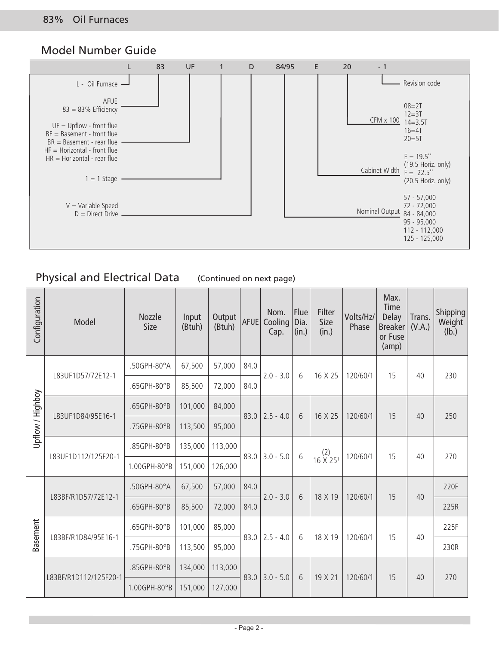

#### Physical and Electrical Data (Continued on next page)

| Configuration    | Model                 | <b>Nozzle</b><br>Size | Input<br>(Btuh) | Output<br>(Btuh) | <b>AFUE</b> | Nom.<br>Cooling<br>Cap. | Flue<br>Dia.<br>(in.) | Filter<br>Size<br>(in.)     | Volts/Hz/<br>Phase | Max.<br>Time<br><b>Delay</b><br><b>Breaker</b><br>or Fuse<br>(am) | Trans.<br>(V.A.) | Shipping<br>Weight<br>(lb.) |
|------------------|-----------------------|-----------------------|-----------------|------------------|-------------|-------------------------|-----------------------|-----------------------------|--------------------|-------------------------------------------------------------------|------------------|-----------------------------|
|                  | L83UF1D57/72E12-1     | .50GPH-80°A           | 67,500          | 57,000           | 84.0        | $2.0 - 3.0$             | 6                     | 16 X 25                     | 120/60/1           | 15                                                                | 40               | 230                         |
|                  |                       | .65GPH-80°B           | 85,500          | 72,000           | 84.0        |                         |                       |                             |                    |                                                                   |                  |                             |
| Upflow / Highboy | L83UF1D84/95E16-1     | .65GPH-80°B           | 101,000         | 84,000           | 83.0        | $2.5 - 4.0$             | 6                     | 16 X 25                     | 120/60/1           | 15                                                                | 40               | 250                         |
|                  |                       | .75GPH-80°B           | 113,500         | 95,000           |             |                         |                       |                             |                    |                                                                   |                  |                             |
|                  | L83UF1D112/125F20-1   | .85GPH-80°B           | 135,000         | 113,000          | 83.0        | $3.0 - 5.0$             | 6                     | (2)                         | 120/60/1           | 15                                                                | 40               | 270                         |
|                  |                       | 1.00GPH-80°B          | 151,000         | 126,000          |             |                         |                       | $16 \times 25$ <sup>1</sup> |                    |                                                                   |                  |                             |
|                  | L83BF/R1D57/72E12-1   | .50GPH-80°A           | 67,500          | 57,000           | 84.0        | $2.0 - 3.0$             | $6\overline{6}$       | 18 X 19                     | 120/60/1           | 15                                                                | 40               | 220F                        |
|                  |                       | .65GPH-80°B           | 85,500          | 72,000           | 84.0        |                         |                       |                             |                    |                                                                   |                  | 225R                        |
| <b>Basement</b>  | L83BF/R1D84/95E16-1   | .65GPH-80°B           | 101,000         | 85,000           | 83.0        | $2.5 - 4.0$             | 6                     | 18 X 19                     | 120/60/1           | 15                                                                | 40               | 225F                        |
|                  |                       | .75GPH-80°B           | 113,500         | 95,000           |             |                         |                       |                             |                    |                                                                   |                  | 230R                        |
|                  | L83BF/R1D112/125F20-1 | .85GPH-80°B           | 134,000         | 113,000          | 83.0        | $3.0 - 5.0$             | 6                     | 19 X 21                     | 120/60/1           | 15                                                                | 40               | 270                         |
|                  |                       | 1.00GPH-80°B          | 151,000         | 127,000          |             |                         |                       |                             |                    |                                                                   |                  |                             |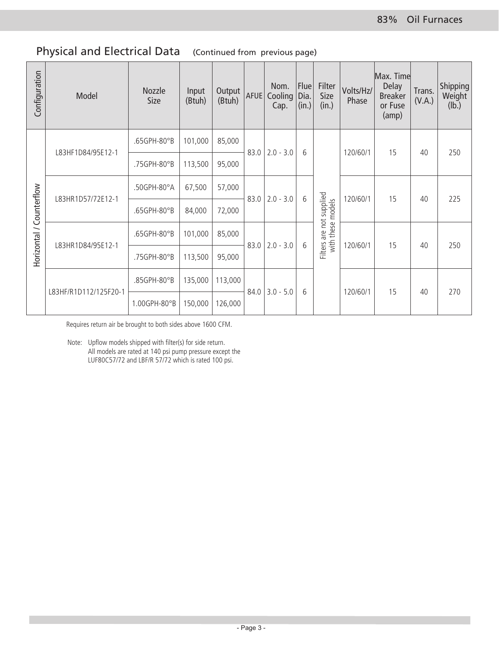# Physical and Electrical Data (Continued from previous page)

| Configuration            | Model                 | Nozzle<br><b>Size</b> | Input<br>(Btuh) | Output<br>(Btuh) | <b>AFUE</b> | Nom.<br>Cooling<br>Cap. | Flue<br>Dia.<br>(in.) | Filter<br>Size<br>(in.)                       | Volts/Hz/<br>Phase | Max. Time<br>Delay<br><b>Breaker</b><br>or Fuse<br>(amp) | Trans.<br>(V.A.) | Shipping<br>Weight<br>(lb.) |
|--------------------------|-----------------------|-----------------------|-----------------|------------------|-------------|-------------------------|-----------------------|-----------------------------------------------|--------------------|----------------------------------------------------------|------------------|-----------------------------|
|                          | L83HF1D84/95E12-1     | .65GPH-80°B           | 101,000         | 85,000           | 83.0        | $2.0 - 3.0$             | 6                     |                                               | 120/60/1           | 15                                                       | 40               | 250                         |
|                          |                       | .75GPH-80°B           | 113,500         | 95,000           |             |                         |                       |                                               |                    |                                                          |                  |                             |
|                          | L83HR1D57/72E12-1     | .50GPH-80°A           | 67,500          | 57,000           | 83.0        | $2.0 - 3.0$             | 6                     |                                               | 120/60/1           | 15                                                       | 40               | 225                         |
| Horizontal / Counterflow |                       | .65GPH-80°B           | 84,000          | 72,000           |             |                         |                       | Filters are not supplied<br>with these models |                    |                                                          |                  |                             |
|                          | L83HR1D84/95E12-1     | .65GPH-80°B           | 101,000         | 85,000           | 83.0        | $2.0 - 3.0$             | 6                     |                                               | 120/60/1           | 15                                                       | 40               | 250                         |
|                          |                       | .75GPH-80°B           | 113,500         | 95,000           |             |                         |                       |                                               |                    |                                                          |                  |                             |
|                          | L83HF/R1D112/125F20-1 | .85GPH-80°B           | 135,000         | 113,000          | 84.0        | $3.0 - 5.0$             | 6                     |                                               |                    | 15                                                       | 40               | 270                         |
|                          |                       | 1.00GPH-80°B          | 150,000         | 126,000          |             |                         |                       |                                               | 120/60/1           |                                                          |                  |                             |

Requires return air be brought to both sides above 1600 CFM.

 Note: Upflow models shipped with filter(s) for side return. All models are rated at 140 psi pump pressure except the LUF80C57/72 and LBF/R 57/72 which is rated 100 psi.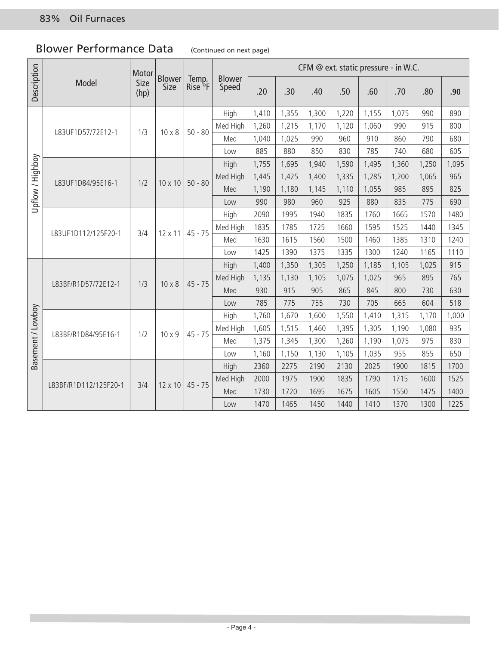# Blower Performance Data (Continued on next page)

|                   |                       | Motor        |                       |                              |                        |       |       | CFM @ ext. static pressure - in W.C. |       |       |       |       |       |
|-------------------|-----------------------|--------------|-----------------------|------------------------------|------------------------|-------|-------|--------------------------------------|-------|-------|-------|-------|-------|
| Description       | Model                 | Size<br>(hp) | <b>Blower</b><br>Size | Temp.<br>Rise <sup>o</sup> F | <b>Blower</b><br>Speed | .20   | .30   | .40                                  | .50   | .60   | .70   | .80   | .90   |
|                   |                       |              |                       |                              | High                   | 1,410 | 1,355 | 1,300                                | 1,220 | 1,155 | 1,075 | 990   | 890   |
|                   | L83UF1D57/72E12-1     | 1/3          | $10 \times 8$         | $50 - 80$                    | Med High               | 1,260 | 1,215 | 1,170                                | 1,120 | 1,060 | 990   | 915   | 800   |
|                   |                       |              |                       |                              | Med                    | 1,040 | 1,025 | 990                                  | 960   | 910   | 860   | 790   | 680   |
|                   |                       |              |                       |                              | Low                    | 885   | 880   | 850                                  | 830   | 785   | 740   | 680   | 605   |
| Upflow / Highboy  |                       |              |                       |                              | High                   | 1,755 | 1,695 | 1,940                                | 1,590 | 1,495 | 1,360 | 1,250 | 1,095 |
|                   | L83UF1D84/95E16-1     | 1/2          | 10 x 10               | $50 - 80$                    | Med High               | 1,445 | 1,425 | 1,400                                | 1,335 | 1,285 | 1,200 | 1,065 | 965   |
|                   |                       |              |                       |                              | Med                    | 1,190 | 1,180 | 1,145                                | 1,110 | 1,055 | 985   | 895   | 825   |
|                   |                       |              |                       |                              | Low                    | 990   | 980   | 960                                  | 925   | 880   | 835   | 775   | 690   |
|                   |                       |              |                       |                              | High                   | 2090  | 1995  | 1940                                 | 1835  | 1760  | 1665  | 1570  | 1480  |
|                   | L83UF1D112/125F20-1   | 3/4          | $12 \times 11$        | $45 - 75$                    | Med High               | 1835  | 1785  | 1725                                 | 1660  | 1595  | 1525  | 1440  | 1345  |
|                   |                       |              |                       |                              | Med                    | 1630  | 1615  | 1560                                 | 1500  | 1460  | 1385  | 1310  | 1240  |
|                   |                       |              |                       |                              | Low                    | 1425  | 1390  | 1375                                 | 1335  | 1300  | 1240  | 1165  | 1110  |
|                   |                       |              |                       |                              | High                   | 1,400 | 1,350 | 1,305                                | 1,250 | 1,185 | 1,105 | 1,025 | 915   |
|                   | L83BF/R1D57/72E12-1   | 1/3          | $10 \times 8$         | $45 - 75$                    | Med High               | 1,135 | 1,130 | 1,105                                | 1,075 | 1,025 | 965   | 895   | 765   |
|                   |                       |              |                       |                              | Med                    | 930   | 915   | 905                                  | 865   | 845   | 800   | 730   | 630   |
|                   |                       |              |                       |                              | Low                    | 785   | 775   | 755                                  | 730   | 705   | 665   | 604   | 518   |
| Basement / Lowboy |                       |              |                       |                              | High                   | 1,760 | 1,670 | 1,600                                | 1,550 | 1,410 | 1,315 | 1,170 | 1,000 |
|                   | L83BF/R1D84/95E16-1   | 1/2          | $10 \times 9$         | $45 - 75$                    | Med High               | 1,605 | 1,515 | 1,460                                | 1,395 | 1,305 | 1,190 | 1,080 | 935   |
|                   |                       |              |                       |                              | Med                    | 1,375 | 1,345 | 1,300                                | 1,260 | 1,190 | 1,075 | 975   | 830   |
|                   |                       |              |                       |                              | Low                    | 1,160 | 1,150 | 1,130                                | 1,105 | 1,035 | 955   | 855   | 650   |
|                   |                       |              |                       |                              | High                   | 2360  | 2275  | 2190                                 | 2130  | 2025  | 1900  | 1815  | 1700  |
|                   | L83BF/R1D112/125F20-1 | 3/4          | 12 x 10               | $45 - 75$                    | Med High               | 2000  | 1975  | 1900                                 | 1835  | 1790  | 1715  | 1600  | 1525  |
|                   |                       |              |                       |                              | Med                    | 1730  | 1720  | 1695                                 | 1675  | 1605  | 1550  | 1475  | 1400  |
|                   |                       |              |                       |                              | Low                    | 1470  | 1465  | 1450                                 | 1440  | 1410  | 1370  | 1300  | 1225  |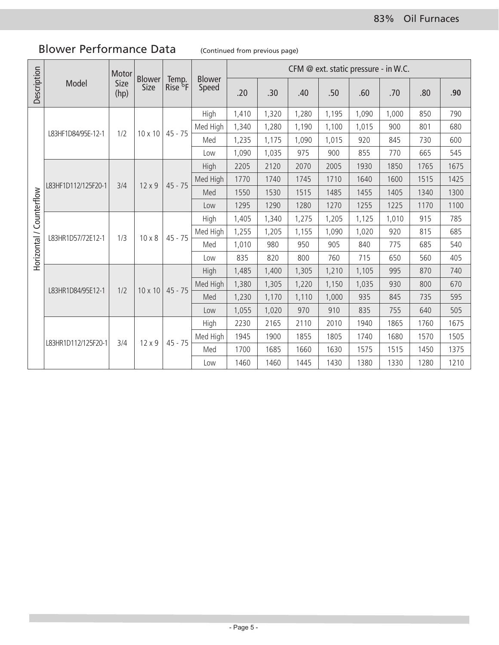#### 83% Oil Furnaces

# Blower Performance Data (Continued from previous page)

|                          |                     | Motor        |                       |                              |                        |       |       | CFM @ ext. static pressure - in W.C. |       |       |       |      |      |
|--------------------------|---------------------|--------------|-----------------------|------------------------------|------------------------|-------|-------|--------------------------------------|-------|-------|-------|------|------|
| Description              | Model               | Size<br>(hp) | <b>Blower</b><br>Size | Temp.<br>Rise <sup>o</sup> F | <b>Blower</b><br>Speed | .20   | .30   | .40                                  | .50   | .60   | .70   | .80  | .90  |
|                          |                     |              |                       |                              | High                   | 1,410 | 1,320 | 1,280                                | 1,195 | 1,090 | 1,000 | 850  | 790  |
|                          | L83HF1D84/95E-12-1  | 1/2          | $10 \times 10$        | $45 - 75$                    | Med High               | 1,340 | 1,280 | 1,190                                | 1,100 | 1,015 | 900   | 801  | 680  |
|                          |                     |              |                       |                              | Med                    | 1,235 | 1,175 | 1,090                                | 1,015 | 920   | 845   | 730  | 600  |
|                          |                     |              |                       |                              | Low                    | 1,090 | 1,035 | 975                                  | 900   | 855   | 770   | 665  | 545  |
|                          |                     |              |                       |                              | High                   | 2205  | 2120  | 2070                                 | 2005  | 1930  | 1850  | 1765 | 1675 |
|                          | L83HF1D112/125F20-1 | 3/4          | $12 \times 9$         | $45 - 75$                    | Med High               | 1770  | 1740  | 1745                                 | 1710  | 1640  | 1600  | 1515 | 1425 |
|                          |                     |              |                       |                              | Med                    | 1550  | 1530  | 1515                                 | 1485  | 1455  | 1405  | 1340 | 1300 |
|                          |                     |              |                       |                              | Low                    | 1295  | 1290  | 1280                                 | 1270  | 1255  | 1225  | 1170 | 1100 |
| Horizontal / Counterflow |                     |              |                       |                              | High                   | 1,405 | 1,340 | 1,275                                | 1,205 | 1,125 | 1,010 | 915  | 785  |
|                          | L83HR1D57/72E12-1   | 1/3          | $10 \times 8$         | $45 - 75$                    | Med High               | 1,255 | 1,205 | 1,155                                | 1,090 | 1,020 | 920   | 815  | 685  |
|                          |                     |              |                       |                              | Med                    | 1,010 | 980   | 950                                  | 905   | 840   | 775   | 685  | 540  |
|                          |                     |              |                       |                              | Low                    | 835   | 820   | 800                                  | 760   | 715   | 650   | 560  | 405  |
|                          |                     |              |                       |                              | High                   | 1,485 | 1,400 | 1,305                                | 1,210 | 1,105 | 995   | 870  | 740  |
|                          | L83HR1D84/95E12-1   | 1/2          | $10 \times 10$        | $45 - 75$                    | Med High               | 1,380 | 1,305 | 1,220                                | 1,150 | 1,035 | 930   | 800  | 670  |
|                          |                     |              |                       |                              | Med                    | 1,230 | 1,170 | 1,110                                | 1,000 | 935   | 845   | 735  | 595  |
|                          |                     |              |                       |                              | Low                    | 1,055 | 1,020 | 970                                  | 910   | 835   | 755   | 640  | 505  |
|                          |                     |              |                       |                              | High                   | 2230  | 2165  | 2110                                 | 2010  | 1940  | 1865  | 1760 | 1675 |
|                          | L83HR1D112/125F20-1 | 3/4          |                       |                              | Med High               | 1945  | 1900  | 1855                                 | 1805  | 1740  | 1680  | 1570 | 1505 |
|                          |                     |              | $12 \times 9$         | $45 - 75$                    | Med                    | 1700  | 1685  | 1660                                 | 1630  | 1575  | 1515  | 1450 | 1375 |
|                          |                     |              |                       |                              | Low                    | 1460  | 1460  | 1445                                 | 1430  | 1380  | 1330  | 1280 | 1210 |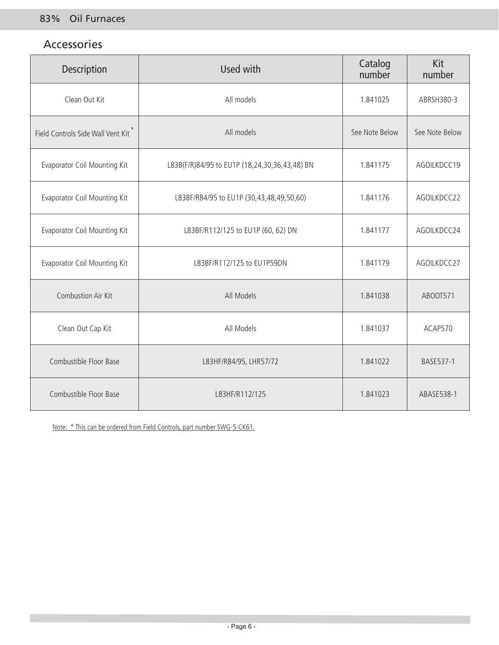#### Accessories

| Description                         | Used with                                     | Catalog<br>number | Kit<br>number  |
|-------------------------------------|-----------------------------------------------|-------------------|----------------|
| Clean Out Kit                       | All models                                    | 1.841025          | ABRSH380-3     |
| Field Controls Side Wall Vent Kit   | All models                                    | See Note Below    | See Note Below |
| <b>Evaporator Coil Mounting Kit</b> | L83B(F/R)84/95 to EU1P (18,24,30,36,43,48) BN | 1.841175          | AGOILKDCC19    |
| Evaporator Coil Mounting Kit        | L83BF/R84/95 to EU1P (30,43,48,49,50,60)      | 1.841176          | AGOILKDCC22    |
| Evaporator Coil Mounting Kit        | L83BF/R112/125 to EU1P (60, 62) DN            | 1.841177          | AGOILKDCC24    |
| Evaporator Coil Mounting Kit        | L83BF/R112/125 to EU1P59DN                    | 1.841179          | AGOILKDCC27    |
| <b>Combustion Air Kit</b>           | All Models                                    | 1.841038          | ABOOT571       |
| Clean Out Cap Kit                   | All Models                                    | 1.841037          | ACAP570        |
| Combustible Floor Base              | L83HF/R84/95, LHR57/72                        | 1.841022          | BASE537-1      |
| Combustible Floor Base              | L83HF/R112/125                                | 1.841023          | ABASE538-1     |

Note: \* This can be ordered from Field Controls, part number SWG-5-CK61.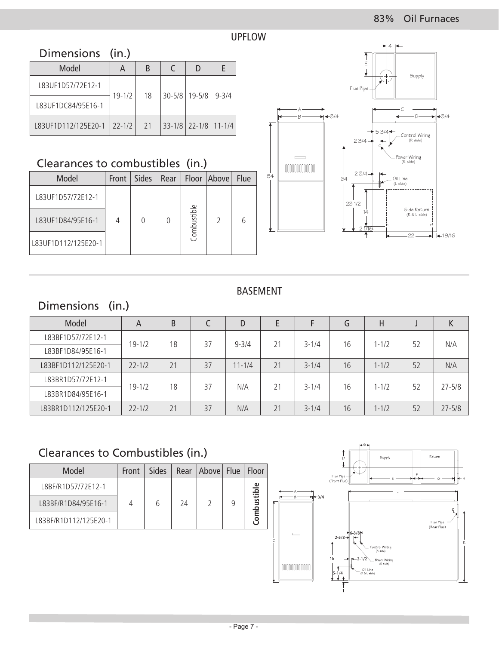UPFLOW

# Dimensions (in.)

| Model               | А          | R  |                                  |           |
|---------------------|------------|----|----------------------------------|-----------|
| 183UF1D57/72F12-1   | $19 - 1/2$ | 18 | $30 - 5/8$   19-5/8              | $9 - 3/4$ |
| 183UF1DC84/95F16-1  |            |    |                                  |           |
| 183UF1D112/125F20-1 | $22 - 1/2$ | 21 | $33 - 1/8$   22 - 1/8   11 - 1/4 |           |

# Clearances to combustibles (in.)

| Model               | Front | <b>Sides</b> | Rear |             | Floor   Above | <b>Flue</b> |
|---------------------|-------|--------------|------|-------------|---------------|-------------|
| L83UF1D57/72E12-1   |       |              |      |             |               |             |
| L83UF1D84/95E16-1   |       |              |      | Combustible |               |             |
| L83UF1D112/125E20-1 |       |              |      |             |               |             |



#### BASEMENT

# Dimensions (in.)

| Model               | Α          | B  |    | D          | E  |           | G  | Н         |    | К          |
|---------------------|------------|----|----|------------|----|-----------|----|-----------|----|------------|
| L83BF1D57/72E12-1   | $19 - 1/2$ | 18 | 37 | $9 - 3/4$  | 21 | $3 - 1/4$ | 16 | $1 - 1/2$ | 52 | N/A        |
| L83BF1D84/95E16-1   |            |    |    |            |    |           |    |           |    |            |
| L83BF1D112/125E20-1 | $22 - 1/2$ | 21 | 37 | $11 - 1/4$ | 21 | $3 - 1/4$ | 16 | $1 - 1/2$ | 52 | N/A        |
| L83BR1D57/72E12-1   |            |    |    |            |    |           |    |           |    |            |
| L83BR1D84/95E16-1   | $19 - 1/2$ | 18 | 37 | N/A        | 21 | $3 - 1/4$ | 16 | $1 - 1/2$ | 52 | $27 - 5/8$ |
| L83BR1D112/125E20-1 | $22 - 1/2$ | 21 | 37 | N/A        | 21 | $3 - 1/4$ | 16 | $1 - 1/2$ | 52 | $27 - 5/8$ |

# Clearances to Combustibles (in.)

| Model                 | Front | Sides |    | Rear   Above   Flue   Floor |   |         |
|-----------------------|-------|-------|----|-----------------------------|---|---------|
| L8BF/R1D57/72E12-1    |       |       |    |                             |   | ு       |
| L83BF/R1D84/95E16-1   |       | b     | 24 |                             | q | bustibl |
| L83BF/R1D112/125E20-1 |       |       |    |                             |   |         |